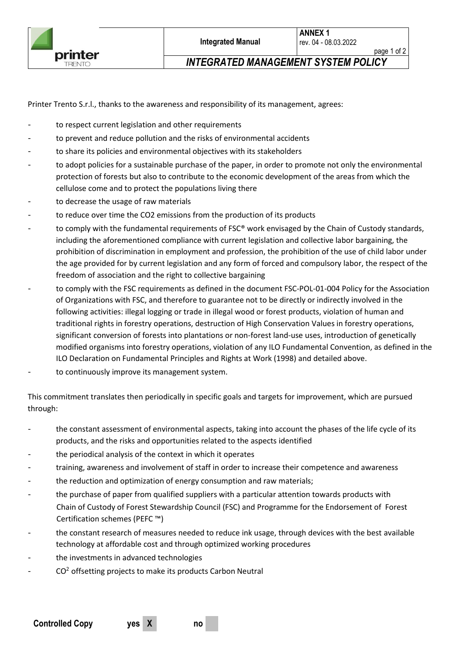page 1 of 2 *INTEGRATED MANAGEMENT SYSTEM POLICY*

Printer Trento S.r.l., thanks to the awareness and responsibility of its management, agrees:

- to respect current legislation and other requirements
- to prevent and reduce pollution and the risks of environmental accidents
- to share its policies and environmental objectives with its stakeholders
- to adopt policies for a sustainable purchase of the paper, in order to promote not only the environmental protection of forests but also to contribute to the economic development of the areas from which the cellulose come and to protect the populations living there
- to decrease the usage of raw materials
- to reduce over time the CO2 emissions from the production of its products
- to comply with the fundamental requirements of FSC® work envisaged by the Chain of Custody standards, including the aforementioned compliance with current legislation and collective labor bargaining, the prohibition of discrimination in employment and profession, the prohibition of the use of child labor under the age provided for by current legislation and any form of forced and compulsory labor, the respect of the freedom of association and the right to collective bargaining
- to comply with the FSC requirements as defined in the document FSC-POL-01-004 Policy for the Association of Organizations with FSC, and therefore to guarantee not to be directly or indirectly involved in the following activities: illegal logging or trade in illegal wood or forest products, violation of human and traditional rights in forestry operations, destruction of High Conservation Values in forestry operations, significant conversion of forests into plantations or non-forest land-use uses, introduction of genetically modified organisms into forestry operations, violation of any ILO Fundamental Convention, as defined in the ILO Declaration on Fundamental Principles and Rights at Work (1998) and detailed above.
- to continuously improve its management system.

This commitment translates then periodically in specific goals and targets for improvement, which are pursued through:

- the constant assessment of environmental aspects, taking into account the phases of the life cycle of its products, and the risks and opportunities related to the aspects identified
- the periodical analysis of the context in which it operates
- training, awareness and involvement of staff in order to increase their competence and awareness
- the reduction and optimization of energy consumption and raw materials;
- the purchase of paper from qualified suppliers with a particular attention towards products with Chain of Custody of Forest Stewardship Council (FSC) and Programme for the Endorsement of Forest Certification schemes (PEFC ™)
- the constant research of measures needed to reduce ink usage, through devices with the best available technology at affordable cost and through optimized working procedures
- the investments in advanced technologies
- $CO<sup>2</sup>$  offsetting projects to make its products Carbon Neutral